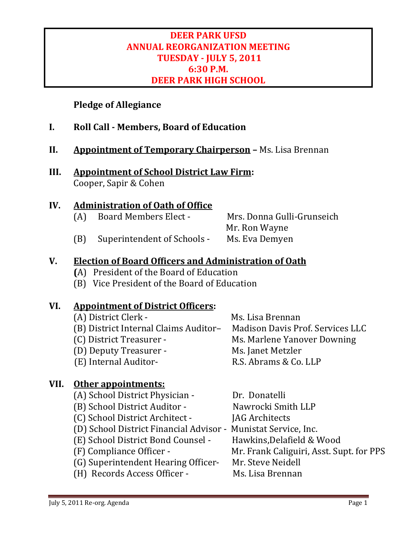#### **DEER PARK UFSD ANNUAL REORGANIZATION MEETING TUESDAY ‐ JULY 5, 2011 6:30 P.M. DEER PARK HIGH SCHOOL**

#### **Pledge of Allegiance**

- **I. Roll Call ‐ Members, Board of Education**
- **II.** Appointment of Temporary Chairperson Ms. Lisa Brennan
- **III. Appointment of School District Law Firm:** Cooper, Sapir & Cohen

#### **IV.** Administration of Oath of Office

(A) Board Members Elect - Mrs. Donna Gulli-Grunseich Mr. Ron Wayne (B) Superintendent of Schools - Ms. Eva Demyen

#### **V. Election of Board Officers and Administration of Oath**

- **(**A) President of the Board of Education
- (B) Vice President of the Board of Education

#### **VI. Appointment of District Officers:**

| (A) District Clerk -                  | Ms. Lisa Brennan                 |
|---------------------------------------|----------------------------------|
| (B) District Internal Claims Auditor- | Madison Davis Prof. Services LLC |
| (C) District Treasurer -              | Ms. Marlene Yanover Downing      |
| (D) Deputy Treasurer -                | Ms. Janet Metzler                |
| (E) Internal Auditor-                 | R.S. Abrams & Co. LLP            |

#### **VII. Other appointments:**

| (A) School District Physician -                                | Dr. Donatelli                            |
|----------------------------------------------------------------|------------------------------------------|
| (B) School District Auditor -                                  | Nawrocki Smith LLP                       |
| (C) School District Architect -                                | <b>JAG Architects</b>                    |
| (D) School District Financial Advisor - Munistat Service, Inc. |                                          |
| (E) School District Bond Counsel -                             | Hawkins, Delafield & Wood                |
| (F) Compliance Officer -                                       | Mr. Frank Caliguiri, Asst. Supt. for PPS |
| (G) Superintendent Hearing Officer-                            | Mr. Steve Neidell                        |
| (H) Records Access Officer -                                   | Ms. Lisa Brennan                         |
|                                                                |                                          |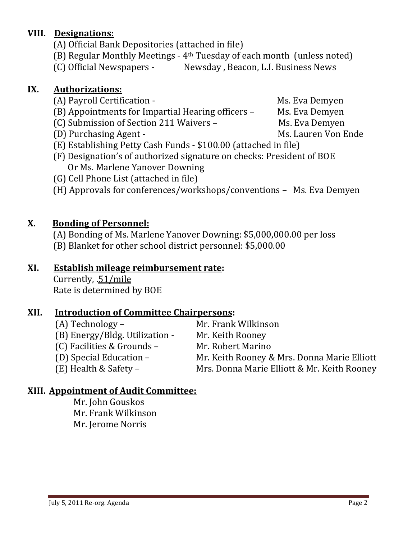July 5, 2011 Re-org. Agenda **Page 2** and the set of the set of the set of the set of the set of the set of the set of the set of the set of the set of the set of the set of the set of the set of the set of the set of the s

#### **VIII.** Designations:

- (A) Official Bank Depositories (attached in file)
- (B) Regular Monthly Meetings  $4<sup>th</sup>$  Tuesday of each month (unless noted)
- (C) Official Newspapers <br>
Newsday, Beacon, L.I. Business News

#### **IX. Authorizations:**

- (A) Payroll Certification **Ms.** Eva Demyen
- (B) Appointments for Impartial Hearing officers Ms. Eva Demyen
- (C) Submission of Section 211 Waivers Ms. Eva Demyen
- (D) Purchasing Agent *Net are account of the Ms. Lauren Von Ende*
- $(E)$  Establishing Petty Cash Funds  $-$  \$100.00 (attached in file)
- (F) Designation's of authorized signature on checks: President of BOE Or Ms. Marlene Yanover Downing
- (G) Cell Phone List (attached in file)
- (H) Approvals for conferences/workshops/conventions Ms. Eva Demyen

# **X. Bonding of Personnel:**

- (A) Bonding of Ms. Marlene Yanover Downing: \$5,000,000.00 per loss
- (B) Blanket for other school district personnel: \$5,000.00

## **XI. Establish mileage reimbursement rate:**

Currently, .51/mile Rate is determined by BOE

## **XII. Introduction of Committee Chairpersons:**

| $(A)$ Technology –             | Mr. Frank Wilkinson                         |
|--------------------------------|---------------------------------------------|
| (B) Energy/Bldg. Utilization - | Mr. Keith Rooney                            |
| (C) Facilities & Grounds -     | Mr. Robert Marino                           |
| (D) Special Education –        | Mr. Keith Rooney & Mrs. Donna Marie Elliott |
| $(E)$ Health & Safety –        | Mrs. Donna Marie Elliott & Mr. Keith Rooney |
|                                |                                             |

## **XIII. Appointment of Audit Committee:**

Mr. John Gouskos Mr. Frank Wilkinson Mr. Jerome Norris

- 
- 
- 
- 
- 
- 
- 
- 
- -
	-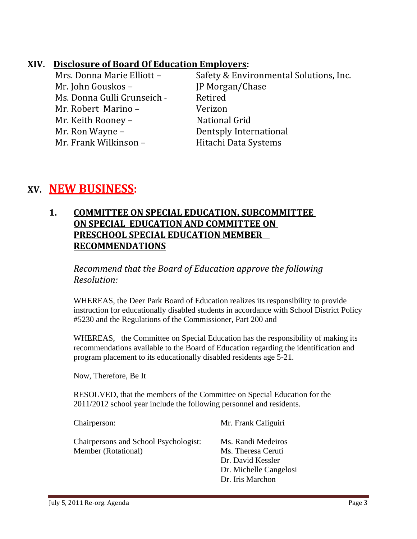#### **XIV. Disclosure of Board Of Education Employers:**

| Mrs. Donna Marie Elliott -  | Safety & Environmental Solutions, Inc. |
|-----------------------------|----------------------------------------|
| Mr. John Gouskos -          | JP Morgan/Chase                        |
| Ms. Donna Gulli Grunseich - | Retired                                |
| Mr. Robert Marino -         | Verizon                                |
| Mr. Keith Rooney -          | National Grid                          |
| Mr. Ron Wayne –             | Dentsply International                 |
| Mr. Frank Wilkinson -       | Hitachi Data Systems                   |

# **XV. NEW BUSINESS:**

#### **1. COMMITTEE ON SPECIAL EDUCATION, SUBCOMMITTEE ON SPECIAL EDUCATION AND COMMITTEE ON PRESCHOOL SPECIAL EDUCATION MEMBER RECOMMENDATIONS**

*Recommend that the Board of Education approve the following Resolution:*

 WHEREAS, the Deer Park Board of Education realizes its responsibility to provide instruction for educationally disabled students in accordance with School District Policy #5230 and the Regulations of the Commissioner, Part 200 and

 WHEREAS, the Committee on Special Education has the responsibility of making its recommendations available to the Board of Education regarding the identification and program placement to its educationally disabled residents age 5-21.

Now, Therefore, Be It

 RESOLVED, that the members of the Committee on Special Education for the 2011/2012 school year include the following personnel and residents.

Chairperson: Mr. Frank Caliguiri

 Chairpersons and School Psychologist: Ms. Randi Medeiros Member (Rotational) Ms. Theresa Ceruti

 Dr. David Kessler Dr. Michelle Cangelosi Dr. Iris Marchon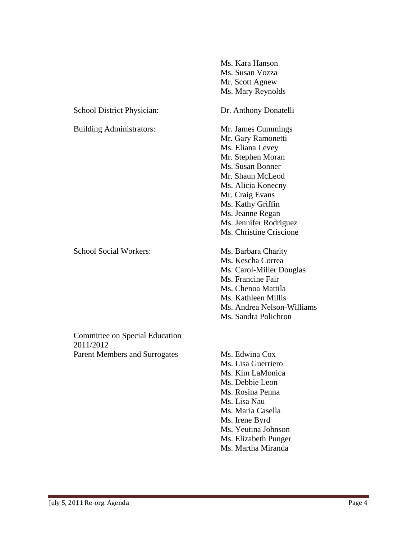|                                             | Ms. Kara Hanson            |
|---------------------------------------------|----------------------------|
|                                             | Ms. Susan Vozza            |
|                                             | Mr. Scott Agnew            |
|                                             | Ms. Mary Reynolds          |
| School District Physician:                  | Dr. Anthony Donatelli      |
| <b>Building Administrators:</b>             | Mr. James Cummings         |
|                                             | Mr. Gary Ramonetti         |
|                                             | Ms. Eliana Levey           |
|                                             | Mr. Stephen Moran          |
|                                             | Ms. Susan Bonner           |
|                                             | Mr. Shaun McLeod           |
|                                             | Ms. Alicia Konecny         |
|                                             | Mr. Craig Evans            |
|                                             | Ms. Kathy Griffin          |
|                                             | Ms. Jeanne Regan           |
|                                             | Ms. Jennifer Rodriguez     |
|                                             | Ms. Christine Criscione    |
| <b>School Social Workers:</b>               | Ms. Barbara Charity        |
|                                             | Ms. Kescha Correa          |
|                                             | Ms. Carol-Miller Douglas   |
|                                             | Ms. Francine Fair          |
|                                             | Ms. Chenoa Mattila         |
|                                             | Ms. Kathleen Millis        |
|                                             | Ms. Andrea Nelson-Williams |
|                                             | Ms. Sandra Polichron       |
| Committee on Special Education<br>2011/2012 |                            |
| <b>Parent Members and Surrogates</b>        | Ms. Edwina Cox             |
|                                             | Ms. Lisa Guerriero         |
|                                             | Ms. Kim LaMonica           |
|                                             | Ms. Debbie Leon            |
|                                             | Ms. Rosina Penna           |
|                                             | Ms. Lisa Nau               |
|                                             | Ms. Maria Casella          |
|                                             | Ms. Irene Byrd             |
|                                             | Ms. Yeutina Johnson        |
|                                             | Ms. Elizabeth Punger       |
|                                             | Ms. Martha Miranda         |
|                                             |                            |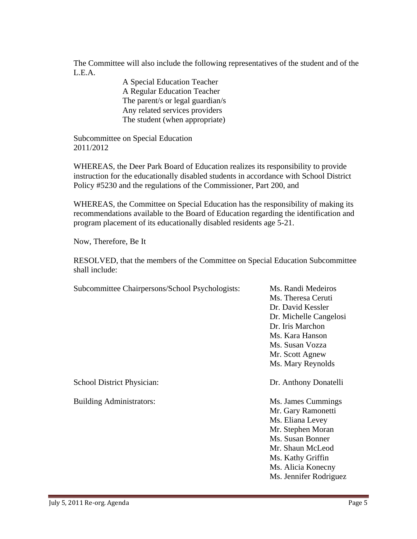The Committee will also include the following representatives of the student and of the L.E.A.

> A Special Education Teacher A Regular Education Teacher The parent/s or legal guardian/s Any related services providers The student (when appropriate)

 Subcommittee on Special Education 2011/2012

 WHEREAS, the Deer Park Board of Education realizes its responsibility to provide instruction for the educationally disabled students in accordance with School District Policy #5230 and the regulations of the Commissioner, Part 200, and

 WHEREAS, the Committee on Special Education has the responsibility of making its recommendations available to the Board of Education regarding the identification and program placement of its educationally disabled residents age 5-21.

Now, Therefore, Be It

 RESOLVED, that the members of the Committee on Special Education Subcommittee shall include:

| Subcommittee Chairpersons/School Psychologists: | Ms. Randi Medeiros<br>Ms. Theresa Ceruti<br>Dr. David Kessler<br>Dr. Michelle Cangelosi<br>Dr. Iris Marchon<br>Ms. Kara Hanson<br>Ms. Susan Vozza<br>Mr. Scott Agnew                           |
|-------------------------------------------------|------------------------------------------------------------------------------------------------------------------------------------------------------------------------------------------------|
|                                                 | Ms. Mary Reynolds                                                                                                                                                                              |
| School District Physician:                      | Dr. Anthony Donatelli                                                                                                                                                                          |
| <b>Building Administrators:</b>                 | Ms. James Cummings<br>Mr. Gary Ramonetti<br>Ms. Eliana Levey<br>Mr. Stephen Moran<br>Ms. Susan Bonner<br>Mr. Shaun McLeod<br>Ms. Kathy Griffin<br>Ms. Alicia Konecny<br>Ms. Jennifer Rodriguez |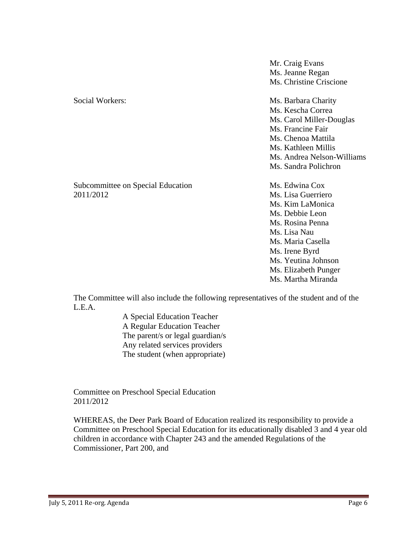|                                                | Mr. Craig Evans<br>Ms. Jeanne Regan<br>Ms. Christine Criscione                                                                                                                                        |
|------------------------------------------------|-------------------------------------------------------------------------------------------------------------------------------------------------------------------------------------------------------|
| Social Workers:                                | Ms. Barbara Charity<br>Ms. Kescha Correa<br>Ms. Carol Miller-Douglas<br>Ms. Francine Fair<br>Ms. Chenoa Mattila<br>Ms. Kathleen Millis<br>Ms. Andrea Nelson-Williams<br>Ms. Sandra Polichron          |
| Subcommittee on Special Education<br>2011/2012 | Ms. Edwina Cox<br>Ms. Lisa Guerriero<br>Ms. Kim LaMonica<br>Ms. Debbie Leon<br>Ms. Rosina Penna<br>Ms. Lisa Nau<br>Ms. Maria Casella<br>Ms. Irene Byrd<br>Ms. Yeutina Johnson<br>Ms. Elizabeth Punger |

 The Committee will also include the following representatives of the student and of the L.E.A.

Ms. Martha Miranda

 A Special Education Teacher A Regular Education Teacher The parent/s or legal guardian/s Any related services providers The student (when appropriate)

 Committee on Preschool Special Education 2011/2012

 WHEREAS, the Deer Park Board of Education realized its responsibility to provide a Committee on Preschool Special Education for its educationally disabled 3 and 4 year old children in accordance with Chapter 243 and the amended Regulations of the Commissioner, Part 200, and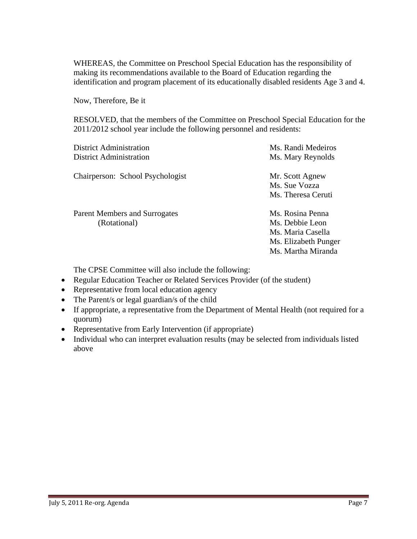WHEREAS, the Committee on Preschool Special Education has the responsibility of making its recommendations available to the Board of Education regarding the identification and program placement of its educationally disabled residents Age 3 and 4.

Now, Therefore, Be it

 RESOLVED, that the members of the Committee on Preschool Special Education for the 2011/2012 school year include the following personnel and residents:

| <b>District Administration</b>                | Ms. Randi Medeiros                                                                                     |
|-----------------------------------------------|--------------------------------------------------------------------------------------------------------|
| <b>District Administration</b>                | Ms. Mary Reynolds                                                                                      |
| Chairperson: School Psychologist              | Mr. Scott Agnew<br>Ms. Sue Vozza<br>Ms. Theresa Ceruti                                                 |
| Parent Members and Surrogates<br>(Rotational) | Ms. Rosina Penna<br>Ms. Debbie Leon<br>Ms. Maria Casella<br>Ms. Elizabeth Punger<br>Ms. Martha Miranda |

The CPSE Committee will also include the following:

- Regular Education Teacher or Related Services Provider (of the student)
- Representative from local education agency
- The Parent/s or legal guardian/s of the child
- If appropriate, a representative from the Department of Mental Health (not required for a quorum)
- Representative from Early Intervention (if appropriate)
- Individual who can interpret evaluation results (may be selected from individuals listed above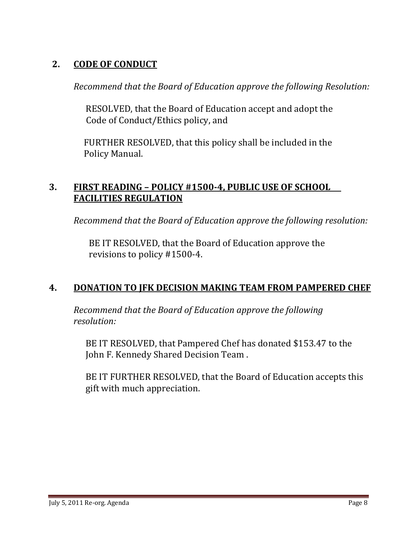#### **2. CODE OF CONDUCT**

*Recommend that the Board of Education approve the following Resolution:*

RESOLVED, that the Board of Education accept and adopt the Code of Conduct/Ethics policy, and

FURTHER RESOLVED, that this policy shall be included in the Policy Manual. 

#### **3. FIRST READING – POLICY #1500‐4, PUBLIC USE OF SCHOOL FACILITIES REGULATION**

*Recommend that the Board of Education approve the following resolution:*

BE IT RESOLVED, that the Board of Education approve the revisions to policy  $\#1500-4$ .

## **4. DONATION TO JFK DECISION MAKING TEAM FROM PAMPERED CHEF**

*Recommend that the Board of Education approve the following resolution:*

BE IT RESOLVED, that Pampered Chef has donated \$153.47 to the John F. Kennedy Shared Decision Team.

BE IT FURTHER RESOLVED, that the Board of Education accepts this gift with much appreciation.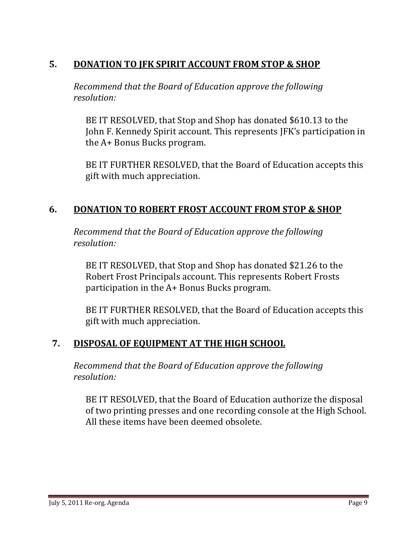## **5. DONATION TO JFK SPIRIT ACCOUNT FROM STOP & SHOP**

*Recommend that the Board of Education approve the following resolution:*

BE IT RESOLVED, that Stop and Shop has donated \$610.13 to the John F. Kennedy Spirit account. This represents JFK's participation in the A+ Bonus Bucks program.

BE IT FURTHER RESOLVED, that the Board of Education accepts this gift with much appreciation.

#### **6. DONATION TO ROBERT FROST ACCOUNT FROM STOP & SHOP**

*Recommend that the Board of Education approve the following resolution:*

BE IT RESOLVED, that Stop and Shop has donated \$21.26 to the Robert Frost Principals account. This represents Robert Frosts participation in the  $A+$  Bonus Bucks program.

BE IT FURTHER RESOLVED, that the Board of Education accepts this gift with much appreciation.

#### **7. DISPOSAL OF EQUIPMENT AT THE HIGH SCHOOL**

*Recommend that the Board of Education approve the following resolution:*

BE IT RESOLVED, that the Board of Education authorize the disposal of two printing presses and one recording console at the High School. All these items have been deemed obsolete.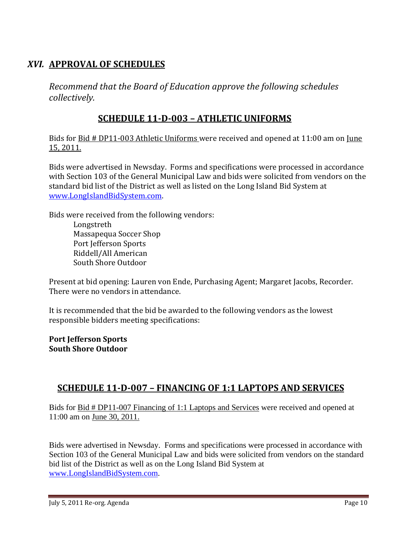#### *XVI.* **APPROVAL OF SCHEDULES**

*Recommend that the Board of Education approve the following schedules collectively.*

#### **SCHEDULE 11‐D‐003 – ATHLETIC UNIFORMS**

Bids for Bid # DP11-003 Athletic Uniforms were received and opened at 11:00 am on June 15, 2011.

Bids were advertised in Newsday. Forms and specifications were processed in accordance with Section 103 of the General Municipal Law and bids were solicited from vendors on the standard bid list of the District as well as listed on the Long Island Bid System at www.LongIslandBidSystem.com. 

Bids were received from the following vendors:

 Longstreth Massapequa Soccer Shop Port Jefferson Sports Riddell/All American South Shore Outdoor

Present at bid opening: Lauren von Ende, Purchasing Agent; Margaret Jacobs, Recorder. There were no vendors in attendance.

It is recommended that the bid be awarded to the following vendors as the lowest responsible bidders meeting specifications:

#### **Port Jefferson Sports South Shore Outdoor**

#### **SCHEDULE 11‐D‐007 – FINANCING OF 1:1 LAPTOPS AND SERVICES**

Bids for Bid # DP11-007 Financing of 1:1 Laptops and Services were received and opened at 11:00 am on June 30, 2011.

Bids were advertised in Newsday. Forms and specifications were processed in accordance with Section 103 of the General Municipal Law and bids were solicited from vendors on the standard bid list of the District as well as on the Long Island Bid System at www.LongIslandBidSystem.com.